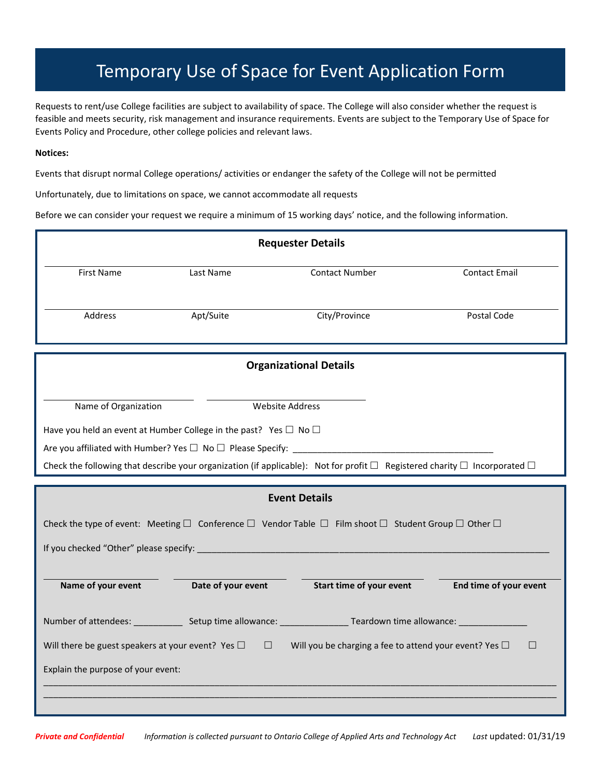## Temporary Use of Space for Event Application Form

Requests to rent/use College facilities are subject to availability of space. The College will also consider whether the request is feasible and meets security, risk management and insurance requirements. Events are subject to the Temporary Use of Space for Events Policy and Procedure, other college policies and relevant laws.

## **Notices:**

Events that disrupt normal College operations/ activities or endanger the safety of the College will not be permitted

Unfortunately, due to limitations on space, we cannot accommodate all requests

Before we can consider your request we require a minimum of 15 working days' notice, and the following information.

| <b>Requester Details</b>                                                                                                                     |                    |                          |                        |  |  |
|----------------------------------------------------------------------------------------------------------------------------------------------|--------------------|--------------------------|------------------------|--|--|
| <b>First Name</b>                                                                                                                            | Last Name          | <b>Contact Number</b>    | <b>Contact Email</b>   |  |  |
|                                                                                                                                              |                    |                          |                        |  |  |
| Address                                                                                                                                      | Apt/Suite          | City/Province            | Postal Code            |  |  |
|                                                                                                                                              |                    |                          |                        |  |  |
| <b>Organizational Details</b>                                                                                                                |                    |                          |                        |  |  |
| Name of Organization                                                                                                                         |                    | <b>Website Address</b>   |                        |  |  |
| Have you held an event at Humber College in the past? Yes $\Box$ No $\Box$                                                                   |                    |                          |                        |  |  |
|                                                                                                                                              |                    |                          |                        |  |  |
| Check the following that describe your organization (if applicable): Not for profit $\Box$ Registered charity $\Box$ Incorporated $\Box$     |                    |                          |                        |  |  |
| <b>Event Details</b>                                                                                                                         |                    |                          |                        |  |  |
| Check the type of event: Meeting $\Box$ Conference $\Box$ Vendor Table $\Box$ Film shoot $\Box$ Student Group $\Box$ Other $\Box$            |                    |                          |                        |  |  |
|                                                                                                                                              |                    |                          |                        |  |  |
|                                                                                                                                              |                    |                          |                        |  |  |
| Name of your event                                                                                                                           | Date of your event | Start time of your event | End time of your event |  |  |
|                                                                                                                                              |                    |                          |                        |  |  |
|                                                                                                                                              |                    |                          |                        |  |  |
| Will there be guest speakers at your event? Yes $\square$ $\square$ Will you be charging a fee to attend your event? Yes $\square$<br>$\Box$ |                    |                          |                        |  |  |
| Explain the purpose of your event:                                                                                                           |                    |                          |                        |  |  |
|                                                                                                                                              |                    |                          |                        |  |  |